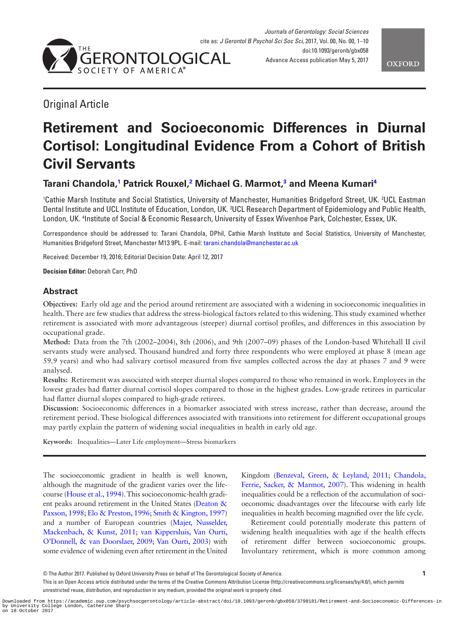

<span id="page-0-1"></span>

# Original Article

# **Retirement and Socioeconomic Differences in Diurnal Cortisol: Longitudinal Evidence From a Cohort of British Civil Servants**

# **Tarani Chandola, [1](#page-0-0) Patrick Rouxel, [2](#page-0-1) Michael G. Marmot, [3](#page-0-2) and Meena Kumari[4](#page-0-3)**

<span id="page-0-2"></span><span id="page-0-0"></span><sup>1</sup>Cathie Marsh Institute and Social Statistics, University of Manchester, Humanities Bridgeford Street, UK. <sup>2</sup>UCL Eastman Dental Institute and UCL Institute of Education, London, UK. 3 UCL Research Department of Epidemiology and Public Health, London, UK. 4 Institute of Social & Economic Research, University of Essex Wivenhoe Park, Colchester, Essex, UK.

<span id="page-0-3"></span>Correspondence should be addressed to: Tarani Chandola, DPhil, Cathie Marsh Institute and Social Statistics, University of Manchester, Humanities Bridgeford Street, Manchester M13 9PL. E-mail: [tarani.chandola@manchester.ac.uk](mailto:tarani.chandola@manchester.ac.uk?subject=)

Received: December 19, 2016; Editorial Decision Date: April 12, 2017

**Decision Editor:** Deborah Carr, PhD

# **Abstract**

**Objectives:** Early old age and the period around retirement are associated with a widening in socioeconomic inequalities in health. There are few studies that address the stress-biological factors related to this widening. This study examined whether retirement is associated with more advantageous (steeper) diurnal cortisol profiles, and differences in this association by occupational grade.

**Method:** Data from the 7th (2002–2004), 8th (2006), and 9th (2007–09) phases of the London-based Whitehall II civil servants study were analysed. Thousand hundred and forty three respondents who were employed at phase 8 (mean age 59.9 years) and who had salivary cortisol measured from five samples collected across the day at phases 7 and 9 were analysed.

**Results:** Retirement was associated with steeper diurnal slopes compared to those who remained in work. Employees in the lowest grades had flatter diurnal cortisol slopes compared to those in the highest grades. Low-grade retirees in particular had flatter diurnal slopes compared to high-grade retirees.

**Discussion:** Socioeconomic differences in a biomarker associated with stress increase, rather than decrease, around the retirement period. These biological differences associated with transitions into retirement for different occupational groups may partly explain the pattern of widening social inequalities in health in early old age.

**Keywords:** Inequalities—Later Life employment—Stress biomarkers

The socioeconomic gradient in health is well known, although the magnitude of the gradient varies over the lifecourse ([House et al., 1994](#page-8-0)). This socioeconomic-health gradient peaks around retirement in the United States ([Deaton &](#page-8-1)  [Paxson, 1998;](#page-8-1) [Elo & Preston, 1996](#page-8-2); [Smith & Kington, 1997\)](#page-9-0) and a number of European countries [\(Majer, Nusselder,](#page-8-3)  [Mackenbach, & Kunst, 2011](#page-8-3); [van Kippersluis, Van Ourti,](#page-9-1)  [O'Donnell, & van Doorslaer, 2009](#page-9-1); [Van Ourti, 2003\)](#page-9-2) with some evidence of widening even after retirement in the United Kingdom [\(Benzeval, Green, & Leyland, 2011](#page-8-4); [Chandola,](#page-8-5)  [Ferrie, Sacker, & Marmot, 2007](#page-8-5)). This widening in health inequalities could be a reflection of the accumulation of socioeconomic disadvantages over the lifecourse with early life inequalities in health becoming magnified over the life cycle.

Retirement could potentially moderate this pattern of widening health inequalities with age if the health effects of retirement differ between socioeconomic groups. Involuntary retirement, which is more common among

<sup>©</sup> The Author 2017. Published by Oxford University Press on behalf of The Gerontological Society of America. **1**

This is an Open Access article distributed under the terms of the Creative Commons Attribution License (http://creativecommons.org/licenses/by/4.0/), which permits unrestricted reuse, distribution, and reproduction in any medium, provided the original work is properly cited.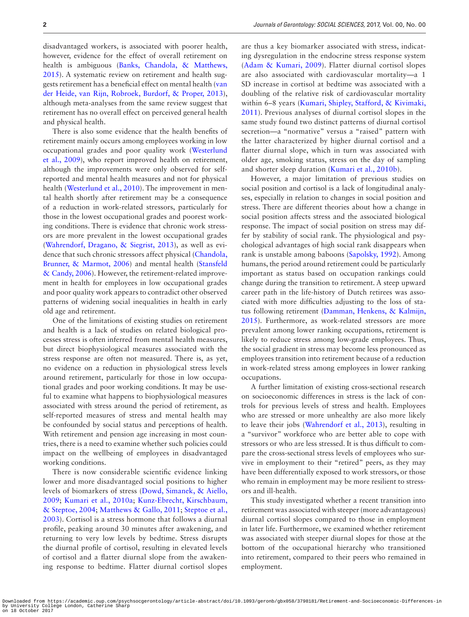disadvantaged workers, is associated with poorer health, however, evidence for the effect of overall retirement on health is ambiguous [\(Banks, Chandola, & Matthews,](#page-8-6)  [2015](#page-8-6)). A systematic review on retirement and health suggests retirement has a beneficial effect on mental health [\(van](#page-9-3)  [der Heide, van Rijn, Robroek, Burdorf, & Proper, 2013](#page-9-3)), although meta-analyses from the same review suggest that retirement has no overall effect on perceived general health and physical health.

There is also some evidence that the health benefits of retirement mainly occurs among employees working in low occupational grades and poor quality work ([Westerlund](#page-9-4)  [et al., 2009](#page-9-4)), who report improved health on retirement, although the improvements were only observed for selfreported and mental health measures and not for physical health ([Westerlund et al., 2010](#page-9-5)). The improvement in mental health shortly after retirement may be a consequence of a reduction in work-related stressors, particularly for those in the lowest occupational grades and poorest working conditions. There is evidence that chronic work stressors are more prevalent in the lowest occupational grades ([Wahrendorf, Dragano, & Siegrist, 2013\)](#page-9-6), as well as evidence that such chronic stressors affect physical [\(Chandola,](#page-8-7)  [Brunner, & Marmot, 2006\)](#page-8-7) and mental health ([Stansfeld](#page-9-7)  [& Candy, 2006](#page-9-7)). However, the retirement-related improvement in health for employees in low occupational grades and poor quality work appears to contradict other observed patterns of widening social inequalities in health in early old age and retirement.

One of the limitations of existing studies on retirement and health is a lack of studies on related biological processes stress is often inferred from mental health measures, but direct biophysiological measures associated with the stress response are often not measured. There is, as yet, no evidence on a reduction in physiological stress levels around retirement, particularly for those in low occupational grades and poor working conditions. It may be useful to examine what happens to biophysiological measures associated with stress around the period of retirement, as self-reported measures of stress and mental health may be confounded by social status and perceptions of health. With retirement and pension age increasing in most countries, there is a need to examine whether such policies could impact on the wellbeing of employees in disadvantaged working conditions.

There is now considerable scientific evidence linking lower and more disadvantaged social positions to higher levels of biomarkers of stress [\(Dowd, Simanek, & Aiello,](#page-8-8)  [2009;](#page-8-8) [Kumari et al., 2010a;](#page-8-9) [Kunz-Ebrecht, Kirschbaum,](#page-8-10)  [& Steptoe, 2004](#page-8-10); [Matthews & Gallo, 2011](#page-8-11); [Steptoe et al.,](#page-8-12)  [2003\)](#page-8-12). Cortisol is a stress hormone that follows a diurnal profile, peaking around 30 minutes after awakening, and returning to very low levels by bedtime. Stress disrupts the diurnal profile of cortisol, resulting in elevated levels of cortisol and a flatter diurnal slope from the awakening response to bedtime. Flatter diurnal cortisol slopes

are thus a key biomarker associated with stress, indicating dysregulation in the endocrine stress response system ([Adam & Kumari, 2009\)](#page-8-13). Flatter diurnal cortisol slopes are also associated with cardiovascular mortality—a 1 SD increase in cortisol at bedtime was associated with a doubling of the relative risk of cardiovascular mortality within 6–8 years ([Kumari, Shipley, Stafford, & Kivimaki,](#page-8-14)  [2011\)](#page-8-14). Previous analyses of diurnal cortisol slopes in the same study found two distinct patterns of diurnal cortisol secretion—a "normative" versus a "raised" pattern with the latter characterized by higher diurnal cortisol and a flatter diurnal slope, which in turn was associated with older age, smoking status, stress on the day of sampling and shorter sleep duration ([Kumari et al., 2010b\)](#page-8-15).

However, a major limitation of previous studies on social position and cortisol is a lack of longitudinal analyses, especially in relation to changes in social position and stress. There are different theories about how a change in social position affects stress and the associated biological response. The impact of social position on stress may differ by stability of social rank. The physiological and psychological advantages of high social rank disappears when rank is unstable among baboons [\(Sapolsky, 1992\)](#page-8-16). Among humans, the period around retirement could be particularly important as status based on occupation rankings could change during the transition to retirement. A steep upward career path in the life-history of Dutch retirees was associated with more difficulties adjusting to the loss of status following retirement [\(Damman, Henkens, & Kalmijn,](#page-8-17)  [2015](#page-8-17)). Furthermore, as work-related stressors are more prevalent among lower ranking occupations, retirement is likely to reduce stress among low-grade employees. Thus, the social gradient in stress may become less pronounced as employees transition into retirement because of a reduction in work-related stress among employees in lower ranking occupations.

A further limitation of existing cross-sectional research on socioeconomic differences in stress is the lack of controls for previous levels of stress and health. Employees who are stressed or more unhealthy are also more likely to leave their jobs [\(Wahrendorf et al., 2013\)](#page-9-6), resulting in a "survivor" workforce who are better able to cope with stressors or who are less stressed. It is thus difficult to compare the cross-sectional stress levels of employees who survive in employment to their "retired" peers, as they may have been differentially exposed to work stressors, or those who remain in employment may be more resilient to stressors and ill-health.

This study investigated whether a recent transition into retirement was associated with steeper (more advantageous) diurnal cortisol slopes compared to those in employment in later life. Furthermore, we examined whether retirement was associated with steeper diurnal slopes for those at the bottom of the occupational hierarchy who transitioned into retirement, compared to their peers who remained in employment.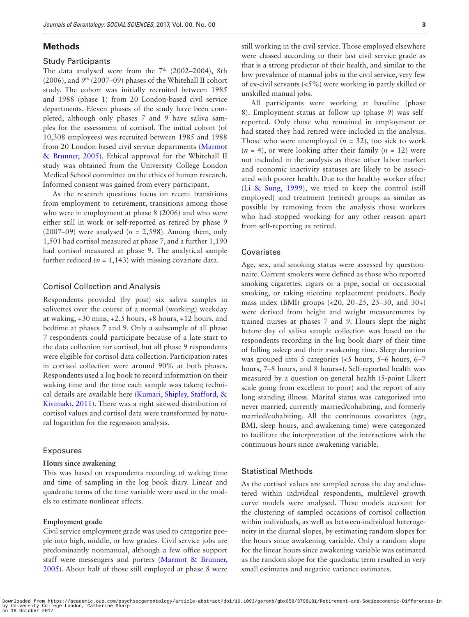## **Methods**

#### Study Participants

The data analysed were from the  $7<sup>th</sup>$  (2002–2004), 8th (2006), and 9th (2007–09) phases of the Whitehall II cohort study. The cohort was initially recruited between 1985 and 1988 (phase 1) from 20 London-based civil service departments. Eleven phases of the study have been completed, although only phases 7 and 9 have saliva samples for the assessment of cortisol. The initial cohort (of 10,308 employees) was recruited between 1985 and 1988 from 20 London-based civil service departments [\(Marmot](#page-8-18)  [& Brunner, 2005\)](#page-8-18). Ethical approval for the Whitehall II study was obtained from the University College London Medical School committee on the ethics of human research. Informed consent was gained from every participant.

As the research questions focus on recent transitions from employment to retirement, transitions among those who were in employment at phase 8 (2006) and who were either still in work or self-reported as retired by phase 9 (2007–09) were analysed (*n* = 2,598). Among them, only 1,501 had cortisol measured at phase 7, and a further 1,190 had cortisol measured at phase 9. The analytical sample further reduced  $(n = 1,143)$  with missing covariate data.

#### Cortisol Collection and Analysis

Respondents provided (by post) six saliva samples in salivettes over the course of a normal (working) weekday at waking, +30 mins, +2.5 hours, +8 hours, +12 hours, and bedtime at phases 7 and 9. Only a subsample of all phase 7 respondents could participate because of a late start to the data collection for cortisol, but all phase 9 respondents were eligible for cortisol data collection. Participation rates in cortisol collection were around 90% at both phases. Respondents used a log book to record information on their waking time and the time each sample was taken; technical details are available here ([Kumari, Shipley, Stafford, &](#page-8-14)  [Kivimaki, 2011\)](#page-8-14). There was a right skewed distribution of cortisol values and cortisol data were transformed by natural logarithm for the regression analysis.

#### Exposures

#### **Hours since awakening**

This was based on respondents recording of waking time and time of sampling in the log book diary. Linear and quadratic terms of the time variable were used in the models to estimate nonlinear effects.

#### **Employment grade**

Civil service employment grade was used to categorize people into high, middle, or low grades. Civil service jobs are predominantly nonmanual, although a few office support staff were messengers and porters ([Marmot & Brunner,](#page-8-18)  [2005](#page-8-18)). About half of those still employed at phase 8 were

still working in the civil service. Those employed elsewhere were classed according to their last civil service grade as that is a strong predictor of their health, and similar to the low prevalence of manual jobs in the civil service, very few of ex-civil servants (<5%) were working in partly skilled or unskilled manual jobs.

All participants were working at baseline (phase 8). Employment status at follow up (phase 9) was selfreported. Only those who remained in employment or had stated they had retired were included in the analysis. Those who were unemployed  $(n = 32)$ , too sick to work  $(n = 4)$ , or were looking after their family  $(n = 12)$  were not included in the analysis as these other labor market and economic inactivity statuses are likely to be associated with poorer health. Due to the healthy worker effect ([Li & Sung, 1999](#page-8-19)), we tried to keep the control (still employed) and treatment (retired) groups as similar as possible by removing from the analysis those workers who had stopped working for any other reason apart from self-reporting as retired.

#### Covariates

Age, sex, and smoking status were assessed by questionnaire. Current smokers were defined as those who reported smoking cigarettes, cigars or a pipe, social or occasional smoking, or taking nicotine replacement products. Body mass index (BMI) groups (<20, 20–25, 25–30, and 30+) were derived from height and weight measurements by trained nurses at phases 7 and 9. Hours slept the night before day of saliva sample collection was based on the respondents recording in the log book diary of their time of falling asleep and their awakening time. Sleep duration was grouped into 5 categories (<5 hours, 5–6 hours, 6–7 hours, 7–8 hours, and 8 hours+). Self-reported health was measured by a question on general health (5-point Likert scale going from excellent to poor) and the report of any long standing illness. Marital status was categorized into never married, currently married/cohabiting, and formerly married/cohabiting. All the continuous covariates (age, BMI, sleep hours, and awakening time) were categorized to facilitate the interpretation of the interactions with the continuous hours since awakening variable.

#### Statistical Methods

As the cortisol values are sampled across the day and clustered within individual respondents, multilevel growth curve models were analysed. These models account for the clustering of sampled occasions of cortisol collection within individuals, as well as between-individual heterogeneity in the diurnal slopes, by estimating random slopes for the hours since awakening variable. Only a random slope for the linear hours since awakening variable was estimated as the random slope for the quadratic term resulted in very small estimates and negative variance estimates.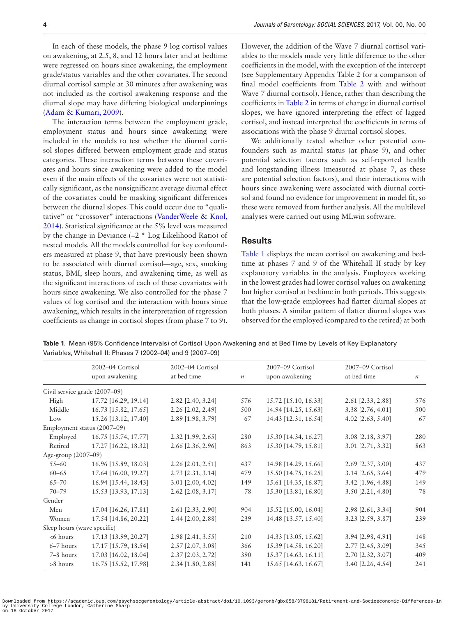In each of these models, the phase 9 log cortisol values on awakening, at 2.5, 8, and 12 hours later and at bedtime were regressed on hours since awakening, the employment grade/status variables and the other covariates. The second diurnal cortisol sample at 30 minutes after awakening was not included as the cortisol awakening response and the diurnal slope may have differing biological underpinnings ([Adam & Kumari, 2009](#page-8-13)).

The interaction terms between the employment grade, employment status and hours since awakening were included in the models to test whether the diurnal cortisol slopes differed between employment grade and status categories. These interaction terms between these covariates and hours since awakening were added to the model even if the main effects of the covariates were not statistically significant, as the nonsignificant average diurnal effect of the covariates could be masking significant differences between the diurnal slopes. This could occur due to "qualitative" or "crossover" interactions ([VanderWeele & Knol,](#page-9-8)  [2014](#page-9-8)). Statistical significance at the 5% level was measured by the change in Deviance (−2 \* Log Likelihood Ratio) of nested models. All the models controlled for key confounders measured at phase 9, that have previously been shown to be associated with diurnal cortisol—age, sex, smoking status, BMI, sleep hours, and awakening time, as well as the significant interactions of each of these covariates with hours since awakening. We also controlled for the phase 7 values of log cortisol and the interaction with hours since awakening, which results in the interpretation of regression coefficients as change in cortisol slopes (from phase 7 to 9). However, the addition of the Wave 7 diurnal cortisol variables to the models made very little difference to the other coefficients in the model, with the exception of the intercept (see Supplementary Appendix Table 2 for a comparison of final model coefficients from Table 2 with and without Wave 7 diurnal cortisol). Hence, rather than describing the coefficients in [Table 2](#page-5-0) in terms of change in diurnal cortisol slopes, we have ignored interpreting the effect of lagged cortisol, and instead interpreted the coefficients in terms of associations with the phase 9 diurnal cortisol slopes.

We additionally tested whether other potential confounders such as marital status (at phase 9), and other potential selection factors such as self-reported health and longstanding illness (measured at phase 7, as these are potential selection factors), and their interactions with hours since awakening were associated with diurnal cortisol and found no evidence for improvement in model fit, so these were removed from further analysis. All the multilevel analyses were carried out using MLwin software.

## **Results**

[Table 1](#page-3-0) displays the mean cortisol on awakening and bedtime at phases 7 and 9 of the Whitehall II study by key explanatory variables in the analysis. Employees working in the lowest grades had lower cortisol values on awakening but higher cortisol at bedtime in both periods. This suggests that the low-grade employees had flatter diurnal slopes at both phases. A similar pattern of flatter diurnal slopes was observed for the employed (compared to the retired) at both

<span id="page-3-0"></span>**Table 1.** Mean (95% Confidence Intervals) of Cortisol Upon Awakening and at Bed Time by Levels of Key Explanatory Variables, Whitehall II: Phases 7 (2002–04) and 9 (2007–09)

|                             | 2002-04 Cortisol              | 2002-04 Cortisol  |                  | 2007-09 Cortisol     | 2007-09 Cortisol    |                  |
|-----------------------------|-------------------------------|-------------------|------------------|----------------------|---------------------|------------------|
|                             | upon awakening                | at bed time       | $\boldsymbol{n}$ | upon awakening       | at bed time         | $\boldsymbol{n}$ |
|                             | Civil service grade (2007–09) |                   |                  |                      |                     |                  |
| High                        | 17.72 [16.29, 19.14]          | 2.82 [2.40, 3.24] | 576              | 15.72 [15.10, 16.33] | 2.61 [2.33, 2.88]   | 576              |
| Middle                      | 16.73 [15.82, 17.65]          | 2.26 [2.02, 2.49] | 500              | 14.94 [14.25, 15.63] | 3.38 [2.76, 4.01]   | 500              |
| Low                         | 15.26 [13.12, 17.40]          | 2.89 [1.98, 3.79] | 67               | 14.43 [12.31, 16.54] | 4.02 [2.63, 5.40]   | 67               |
|                             | Employment status (2007–09)   |                   |                  |                      |                     |                  |
| Employed                    | 16.75 [15.74, 17.77]          | 2.32 [1.99, 2.65] | 280              | 15.30 [14.34, 16.27] | 3.08 [2.18, 3.97]   | 280              |
| Retired                     | 17.27 [16.22, 18.32]          | 2.66 [2.36, 2.96] | 863              | 15.30 [14.79, 15.81] | 3.01 [2.71, 3.32]   | 863              |
| Age-group (2007-09)         |                               |                   |                  |                      |                     |                  |
| $55 - 60$                   | 16.96 [15.89, 18.03]          | 2.26 [2.01, 2.51] | 437              | 14.98 [14.29, 15.66] | 2.69 [2.37, 3.00]   | 437              |
| $60 - 65$                   | 17.64 [16.00, 19.27]          | 2.73 [2.31, 3.14] | 479              | 15.50 [14.75, 16.25] | $3.14$ [2.65, 3.64] | 479              |
| $65 - 70$                   | 16.94 [15.44, 18.43]          | 3.01 [2.00, 4.02] | 149              | 15.61 [14.35, 16.87] | 3.42 [1.96, 4.88]   | 149              |
| $70 - 79$                   | 15.53 [13.93, 17.13]          | 2.62 [2.08, 3.17] | 78               | 15.30 [13.81, 16.80] | 3.50 [2.21, 4.80]   | 78               |
| Gender                      |                               |                   |                  |                      |                     |                  |
| Men                         | 17.04 [16.26, 17.81]          | 2.61 [2.33, 2.90] | 904              | 15.52 [15.00, 16.04] | 2.98 [2.61, 3.34]   | 904              |
| Women                       | 17.54 [14.86, 20.22]          | 2.44 [2.00, 2.88] | 239              | 14.48 [13.57, 15.40] | 3.23 [2.59, 3.87]   | 239              |
| Sleep hours (wave specific) |                               |                   |                  |                      |                     |                  |
| $< 6$ hours                 | 17.13 [13.99, 20.27]          | 2.98 [2.41, 3.55] | 210              | 14.33 [13.05, 15.62] | 3.94 [2.98, 4.91]   | 148              |
| $6-7$ hours                 | 17.17 [15.79, 18.54]          | 2.57 [2.07, 3.08] | 366              | 15.39 [14.58, 16.20] | 2.77 [2.45, 3.09]   | 345              |
| 7-8 hours                   | 17.03 [16.02, 18.04]          | 2.37 [2.03, 2.72] | 390              | 15.37 [14.63, 16.11] | 2.70 [2.32, 3.07]   | 409              |
| $>8$ hours                  | 16.75 [15.52, 17.98]          | 2.34 [1.80, 2.88] | 141              | 15.65 [14.63, 16.67] | 3.40 [2.26, 4.54]   | 241              |
|                             |                               |                   |                  |                      |                     |                  |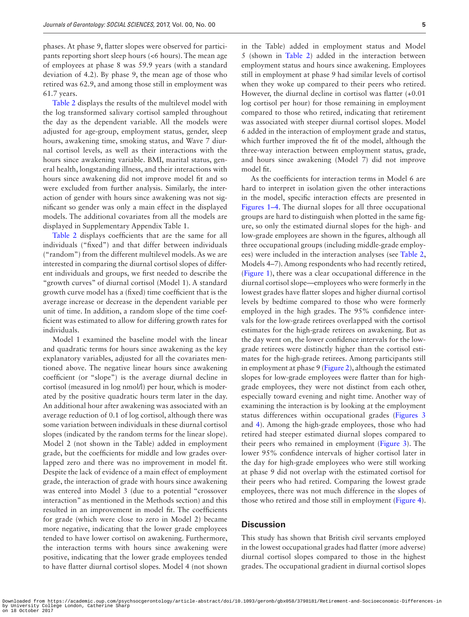phases. At phase 9, flatter slopes were observed for participants reporting short sleep hours (<6 hours). The mean age of employees at phase 8 was 59.9 years (with a standard deviation of 4.2). By phase 9, the mean age of those who retired was 62.9, and among those still in employment was 61.7 years.

[Table 2](#page-5-0) displays the results of the multilevel model with the log transformed salivary cortisol sampled throughout the day as the dependent variable. All the models were adjusted for age-group, employment status, gender, sleep hours, awakening time, smoking status, and Wave 7 diurnal cortisol levels, as well as their interactions with the hours since awakening variable. BMI, marital status, general health, longstanding illness, and their interactions with hours since awakening did not improve model fit and so were excluded from further analysis. Similarly, the interaction of gender with hours since awakening was not significant so gender was only a main effect in the displayed models. The additional covariates from all the models are displayed in Supplementary Appendix Table 1.

Table 2 displays coefficients that are the same for all individuals ("fixed") and that differ between individuals ("random") from the different multilevel models. As we are interested in comparing the diurnal cortisol slopes of different individuals and groups, we first needed to describe the "growth curves" of diurnal cortisol (Model 1). A standard growth curve model has a (fixed) time coefficient that is the average increase or decrease in the dependent variable per unit of time. In addition, a random slope of the time coefficient was estimated to allow for differing growth rates for individuals.

Model 1 examined the baseline model with the linear and quadratic terms for hours since awakening as the key explanatory variables, adjusted for all the covariates mentioned above. The negative linear hours since awakening coefficient (or "slope") is the average diurnal decline in cortisol (measured in log nmol/l) per hour, which is moderated by the positive quadratic hours term later in the day. An additional hour after awakening was associated with an average reduction of 0.1 of log cortisol, although there was some variation between individuals in these diurnal cortisol slopes (indicated by the random terms for the linear slope). Model 2 (not shown in the Table) added in employment grade, but the coefficients for middle and low grades overlapped zero and there was no improvement in model fit. Despite the lack of evidence of a main effect of employment grade, the interaction of grade with hours since awakening was entered into Model 3 (due to a potential "crossover interaction" as mentioned in the Methods section) and this resulted in an improvement in model fit. The coefficients for grade (which were close to zero in Model 2) became more negative, indicating that the lower grade employees tended to have lower cortisol on awakening. Furthermore, the interaction terms with hours since awakening were positive, indicating that the lower grade employees tended to have flatter diurnal cortisol slopes. Model 4 (not shown

in the Table) added in employment status and Model 5 (shown in [Table 2](#page-5-0)) added in the interaction between employment status and hours since awakening. Employees still in employment at phase 9 had similar levels of cortisol when they woke up compared to their peers who retired. However, the diurnal decline in cortisol was flatter (+0.01 log cortisol per hour) for those remaining in employment compared to those who retired, indicating that retirement was associated with steeper diurnal cortisol slopes. Model 6 added in the interaction of employment grade and status, which further improved the fit of the model, although the three-way interaction between employment status, grade, and hours since awakening (Model 7) did not improve model fit.

As the coefficients for interaction terms in Model 6 are hard to interpret in isolation given the other interactions in the model, specific interaction effects are presented in [Figures 1–4.](#page-6-0) The diurnal slopes for all three occupational groups are hard to distinguish when plotted in the same figure, so only the estimated diurnal slopes for the high- and low-grade employees are shown in the figures, although all three occupational groups (including middle-grade employees) were included in the interaction analyses (see [Table 2](#page-5-0), Models 4–7). Among respondents who had recently retired, ([Figure 1\)](#page-6-0), there was a clear occupational difference in the diurnal cortisol slope—employees who were formerly in the lowest grades have flatter slopes and higher diurnal cortisol levels by bedtime compared to those who were formerly employed in the high grades. The 95% confidence intervals for the low-grade retirees overlapped with the cortisol estimates for the high-grade retirees on awakening. But as the day went on, the lower confidence intervals for the lowgrade retirees were distinctly higher than the cortisol estimates for the high-grade retirees. Among participants still in employment at phase 9 ([Figure 2\)](#page-6-1), although the estimated slopes for low-grade employees were flatter than for highgrade employees, they were not distinct from each other, especially toward evening and night time. Another way of examining the interaction is by looking at the employment status differences within occupational grades ([Figures 3](#page-6-2) and [4](#page-6-3)). Among the high-grade employees, those who had retired had steeper estimated diurnal slopes compared to their peers who remained in employment ([Figure 3\)](#page-6-2). The lower 95% confidence intervals of higher cortisol later in the day for high-grade employees who were still working at phase 9 did not overlap with the estimated cortisol for their peers who had retired. Comparing the lowest grade employees, there was not much difference in the slopes of those who retired and those still in employment [\(Figure 4](#page-6-3)).

# **Discussion**

This study has shown that British civil servants employed in the lowest occupational grades had flatter (more adverse) diurnal cortisol slopes compared to those in the highest grades. The occupational gradient in diurnal cortisol slopes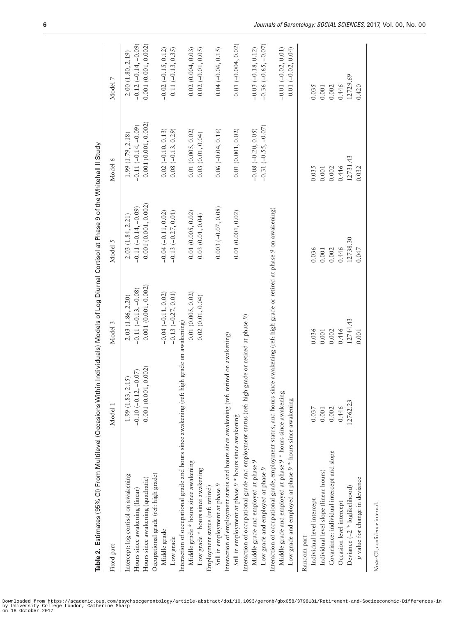| Table 2. Estimates (95% CI) From Multilevel (Occasions Within Individuals) Models of Log Diurnal Cortisol at Phase 9 of the Whitehall II Study |                          |                       |                       |                       |                       |
|------------------------------------------------------------------------------------------------------------------------------------------------|--------------------------|-----------------------|-----------------------|-----------------------|-----------------------|
| Fixed part                                                                                                                                     | Model 1                  | Model 3               | Model 5               | Model 6               | Model 7               |
| Intercept: log cortisol on awakening                                                                                                           | 1.99(1.83, 2.15)         | 2.03 (1.86, 2.20)     | 2.03(1.84, 2.21)      | 1.99(1.79, 2.18)      | 2.00(1.80, 2.19)      |
| Hours since awakening (linear)                                                                                                                 | $-0.10(-0.12, -0.07)$    | $-0.11(-0.13, -0.08)$ | $-0.11(-0.14, -0.09)$ | $-0.11(-0.14, -0.09)$ | $-0.12(-0.14,-0.09)$  |
| Hours since awakening (quadratic)                                                                                                              | 0.001(0.001, 0.002)      | 0.001(0.001, 0.002)   | 0.001(0.001, 0.002)   | 0.001(0.001, 0.002)   | 0.001(0.001, 0.002)   |
| Occupational grade (ref: high grade)                                                                                                           |                          |                       |                       |                       |                       |
| Middle grade                                                                                                                                   |                          | $-0.04(-0.11, 0.02)$  | $-0.04(-0.11, 0.02)$  | $0.02(-0.10, 0.13)$   | $-0.02(-0.15, 0.12)$  |
| Low grade                                                                                                                                      |                          | $-0.13(-0.27, 0.01)$  | $-0.13(-0.27, 0.01)$  | $0.08(-0.13, 0.29)$   | $0.11 (-0.13, 0.35)$  |
| Interaction of occupational grade and hours since awakening (ref:                                                                              | high grade on awakening) |                       |                       |                       |                       |
| Middle grade * hours since awakening                                                                                                           |                          | 0.01(0.005, 0.02)     | 0.01(0.005, 0.02)     | 0.01(0.005, 0.02)     | 0.02(0.004, 0.03)     |
| Low grade * hours since awakening                                                                                                              |                          | 0.02(0.01, 0.04)      | 0.03(0.01, 0.04)      | 0.03(0.01, 0.04)      | $0.02(-0.01, 0.05)$   |
| Employment status (ref: retired)                                                                                                               |                          |                       |                       |                       |                       |
| Still in employment at phase 9                                                                                                                 |                          |                       | $0.003(-0.07, 0.08)$  | $0.06(-0.04, 0.16)$   | $0.04 (-0.06, 0.15)$  |
| Interaction of employment status and hours since awakening (ref:                                                                               | retired on awakening)    |                       |                       |                       |                       |
| Still in employment at phase 9 * hours since awakening                                                                                         |                          |                       | 0.01(0.001, 0.02)     | 0.01(0.001, 0.02)     | $0.01 (-0.004, 0.02)$ |
| Interaction of occupational grade and employment status (ref: high grade or retired at phase 9)                                                |                          |                       |                       |                       |                       |
| Middle grade and employed at phase 9                                                                                                           |                          |                       |                       | $-0.08 (-0.20, 0.05)$ | $-0.03(-0.18, 0.12)$  |
| Low grade and employed at phase 9                                                                                                              |                          |                       |                       | $-0.31(-0.55, -0.07)$ | $-0.36(-0.65, -0.07)$ |
| Interaction of occupational grade, employment status, and hours since awakening (ref: high grade or retired at phase 9 on awakening)           |                          |                       |                       |                       |                       |
| Middle grade and employed at phase 9 * hours since awakening                                                                                   |                          |                       |                       |                       | $-0.01(-0.02, 0.01)$  |
| Low grade and employed at phase 9 * hours since awakening                                                                                      |                          |                       |                       |                       | $0.01 (-0.02, 0.04)$  |
| Random part                                                                                                                                    |                          |                       |                       |                       |                       |
| Individual level intercept                                                                                                                     | 0.037                    | 0.036                 | 0.036                 | 0.035                 | 0.035                 |
| Individual level slope (linear hours)                                                                                                          | 0.001                    | 0.001                 | 0.001                 | 0.001                 | 0.001                 |
| Covariance: individual intercept and slope                                                                                                     | 0.002                    | 0.002                 | 0.002                 | 0.002                 | 0.002                 |
| Occasion level intercept                                                                                                                       | 0.446                    | 0.446                 | 0.446                 | 0.446                 | 0.446                 |
| Deviance (-2 * loglikelihood)                                                                                                                  | 12762.23                 | 12744.43              | 12738.30              | 12731.43              | 12729.69              |
| p value for change in deviance                                                                                                                 |                          | 0.001                 | 0.047                 | 0.032                 | 0.420                 |
|                                                                                                                                                |                          |                       |                       |                       |                       |

Note: CI, confidence interval. *Note:* CI, confidence interval.

<span id="page-5-0"></span>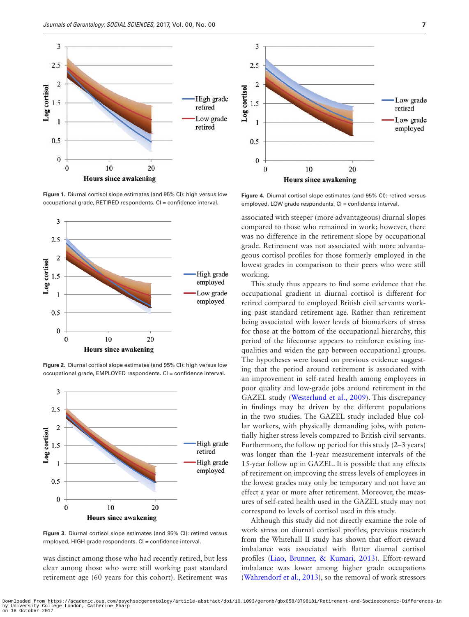

<span id="page-6-0"></span>**Figure 1.** Diurnal cortisol slope estimates (and 95% CI): high versus low occupational grade, RETIRED respondents. CI = confidence interval.



<span id="page-6-1"></span>**Figure 2.** Diurnal cortisol slope estimates (and 95% CI): high versus low occupational grade, EMPLOYED respondents. CI = confidence interval.



<span id="page-6-2"></span>**Figure 3.** Diurnal cortisol slope estimates (and 95% CI): retired versus rmployed, HIGH grade respondents. CI = confidence interval.

was distinct among those who had recently retired, but less clear among those who were still working past standard retirement age (60 years for this cohort). Retirement was



<span id="page-6-3"></span>**Figure 4.** Diurnal cortisol slope estimates (and 95% CI): retired versus employed, LOW grade respondents. CI = confidence interval.

associated with steeper (more advantageous) diurnal slopes compared to those who remained in work; however, there was no difference in the retirement slope by occupational grade. Retirement was not associated with more advantageous cortisol profiles for those formerly employed in the lowest grades in comparison to their peers who were still working.

This study thus appears to find some evidence that the occupational gradient in diurnal cortisol is different for retired compared to employed British civil servants working past standard retirement age. Rather than retirement being associated with lower levels of biomarkers of stress for those at the bottom of the occupational hierarchy, this period of the lifecourse appears to reinforce existing inequalities and widen the gap between occupational groups. The hypotheses were based on previous evidence suggesting that the period around retirement is associated with an improvement in self-rated health among employees in poor quality and low-grade jobs around retirement in the GAZEL study ([Westerlund et al., 2009\)](#page-9-4). This discrepancy in findings may be driven by the different populations in the two studies. The GAZEL study included blue collar workers, with physically demanding jobs, with potentially higher stress levels compared to British civil servants. Furthermore, the follow up period for this study (2–3 years) was longer than the 1-year measurement intervals of the 15-year follow up in GAZEL. It is possible that any effects of retirement on improving the stress levels of employees in the lowest grades may only be temporary and not have an effect a year or more after retirement. Moreover, the measures of self-rated health used in the GAZEL study may not correspond to levels of cortisol used in this study.

Although this study did not directly examine the role of work stress on diurnal cortisol profiles, previous research from the Whitehall II study has shown that effort-reward imbalance was associated with flatter diurnal cortisol profiles [\(Liao, Brunner, & Kumari, 2013](#page-8-20)). Effort-reward imbalance was lower among higher grade occupations ([Wahrendorf et al., 2013](#page-9-6)), so the removal of work stressors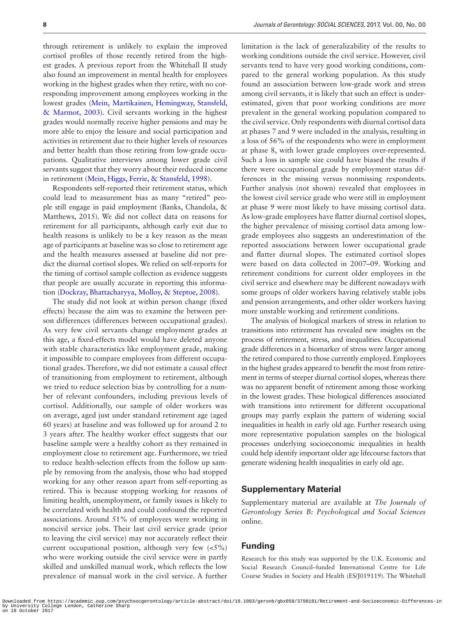through retirement is unlikely to explain the improved cortisol profiles of those recently retired from the highest grades. A previous report from the Whitehall II study also found an improvement in mental health for employees working in the highest grades when they retire, with no corresponding improvement among employees working in the lowest grades ([Mein, Martikainen, Hemingway, Stansfeld,](#page-8-12)  [& Marmot, 2003](#page-8-12)). Civil servants working in the highest grades would normally receive higher pensions and may be more able to enjoy the leisure and social participation and activities in retirement due to their higher levels of resources and better health than those retiring from low-grade occupations. Qualitative interviews among lower grade civil servants suggest that they worry about their reduced income in retirement [\(Mein, Higgs, Ferrie, & Stansfeld, 1998\)](#page-8-21).

Respondents self-reported their retirement status, which could lead to measurement bias as many "retired" people still engage in paid employment (Banks, Chandola, & Matthews, 2015). We did not collect data on reasons for retirement for all participants, although early exit due to health reasons is unlikely to be a key reason as the mean age of participants at baseline was so close to retirement age and the health measures assessed at baseline did not predict the diurnal cortisol slopes. We relied on self-reports for the timing of cortisol sample collection as evidence suggests that people are usually accurate in reporting this information ([Dockray, Bhattacharyya, Molloy, & Steptoe, 2008\)](#page-8-22).

The study did not look at within person change (fixed effects) because the aim was to examine the between person differences (differences between occupational grades). As very few civil servants change employment grades at this age, a fixed-effects model would have deleted anyone with stable characteristics like employment grade, making it impossible to compare employees from different occupational grades. Therefore, we did not estimate a causal effect of transitioning from employment to retirement, although we tried to reduce selection bias by controlling for a number of relevant confounders, including previous levels of cortisol. Additionally, our sample of older workers was on average, aged just under standard retirement age (aged 60 years) at baseline and was followed up for around 2 to 3 years after. The healthy worker effect suggests that our baseline sample were a healthy cohort as they remained in employment close to retirement age. Furthermore, we tried to reduce health-selection effects from the follow up sample by removing from the analysis, those who had stopped working for any other reason apart from self-reporting as retired. This is because stopping working for reasons of limiting health, unemployment, or family issues is likely to be correlated with health and could confound the reported associations. Around 51% of employees were working in noncivil service jobs. Their last civil service grade (prior to leaving the civil service) may not accurately reflect their current occupational position, although very few  $\langle$ <5%) who were working outside the civil service were in partly skilled and unskilled manual work, which reflects the low prevalence of manual work in the civil service. A further

limitation is the lack of generalizability of the results to working conditions outside the civil service. However, civil servants tend to have very good working conditions, compared to the general working population. As this study found an association between low-grade work and stress among civil servants, it is likely that such an effect is underestimated, given that poor working conditions are more prevalent in the general working population compared to the civil service. Only respondents with diurnal cortisol data at phases 7 and 9 were included in the analysis, resulting in a loss of 56% of the respondents who were in employment at phase 8, with lower grade employees over-represented. Such a loss in sample size could have biased the results if there were occupational grade by employment status differences in the missing versus nonmissing respondents. Further analysis (not shown) revealed that employees in the lowest civil service grade who were still in employment at phase 9 were most likely to have missing cortisol data. As low-grade employees have flatter diurnal cortisol slopes, the higher prevalence of missing cortisol data among lowgrade employees also suggests an underestimation of the reported associations between lower occupational grade and flatter diurnal slopes. The estimated cortisol slopes were based on data collected in 2007–09. Working and retirement conditions for current older employees in the civil service and elsewhere may be different nowadays with some groups of older workers having relatively stable jobs and pension arrangements, and other older workers having more unstable working and retirement conditions.

The analysis of biological markers of stress in relation to transitions into retirement has revealed new insights on the process of retirement, stress, and inequalities. Occupational grade differences in a biomarker of stress were larger among the retired compared to those currently employed. Employees in the highest grades appeared to benefit the most from retirement in terms of steeper diurnal cortisol slopes, whereas there was no apparent benefit of retirement among those working in the lowest grades. These biological differences associated with transitions into retirement for different occupational groups may partly explain the pattern of widening social inequalities in health in early old age. Further research using more representative population samples on the biological processes underlying socioeconomic inequalities in health could help identify important older age lifecourse factors that generate widening health inequalities in early old age.

#### **Supplementary Material**

Supplementary material are available at *The Journals of Gerontology Series B: Psychological and Social Sciences* online.

# **Funding**

Research for this study was supported by the U.K. Economic and Social Research Council–funded International Centre for Life Course Studies in Society and Health (ES/J019119). The Whitehall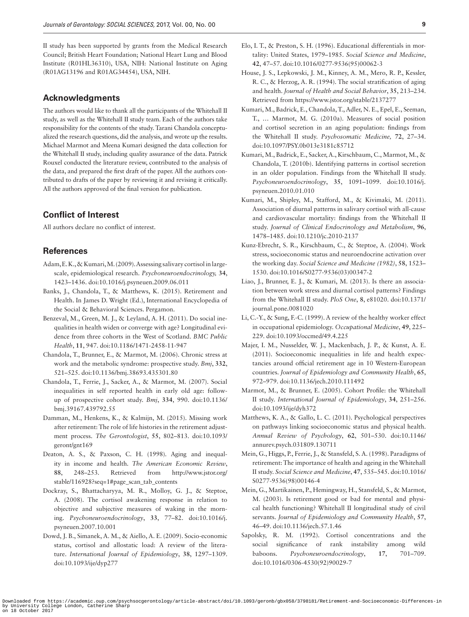II study has been supported by grants from the Medical Research Council; British Heart Foundation; National Heart Lung and Blood Institute (R01HL36310), USA, NIH: National Institute on Aging (R01AG13196 and R01AG34454), USA, NIH.

# **Acknowledgments**

The authors would like to thank all the participants of the Whitehall II study, as well as the Whitehall II study team. Each of the authors take responsibility for the contents of the study. Tarani Chandola conceptualized the research questions, did the analysis, and wrote up the results. Michael Marmot and Meena Kumari designed the data collection for the Whitehall II study, including quality assurance of the data. Patrick Rouxel conducted the literature review, contributed to the analysis of the data, and prepared the first draft of the paper. All the authors contributed to drafts of the paper by reviewing it and revising it critically. All the authors approved of the final version for publication.

# **Conflict of Interest**

All authors declare no conflict of interest.

# **References**

- <span id="page-8-13"></span>Adam, E. K., & Kumari, M. (2009). Assessing salivary cortisol in largescale, epidemiological research. *Psychoneuroendocrinology,* **34**, 1423–1436. doi:10.1016/j.psyneuen.2009.06.011
- <span id="page-8-6"></span>Banks, J., Chandola, T., & Matthews, K. (2015). Retirement and Health. In James D. Wright (Ed.), International Encyclopedia of the Social & Behavioral Sciences. Pergamon.
- <span id="page-8-4"></span>Benzeval, M., Green, M. J., & Leyland, A. H. (2011). Do social inequalities in health widen or converge with age? Longitudinal evidence from three cohorts in the West of Scotland. *BMC Public Health*, **11**, 947. doi:10.1186/1471-2458-11-947
- <span id="page-8-7"></span>Chandola, T., Brunner, E., & Marmot, M. (2006). Chronic stress at work and the metabolic syndrome: prospective study. *Bmj*, **332**, 521–525. doi:10.1136/bmj.38693.435301.80
- <span id="page-8-5"></span>Chandola, T., Ferrie, J., Sacker, A., & Marmot, M. (2007). Social inequalities in self reported health in early old age: followup of prospective cohort study. *Bmj*, **334**, 990. doi:10.1136/ bmj.39167.439792.55
- <span id="page-8-17"></span>Damman, M., Henkens, K., & Kalmijn, M. (2015). Missing work after retirement: The role of life histories in the retirement adjustment process. *The Gerontologist*, **55**, 802–813. doi:10.1093/ geront/gnt169
- <span id="page-8-1"></span>Deaton, A. S., & Paxson, C. H. (1998). Aging and inequality in income and health. *The American Economic Review*, **88**, 248–253. Retrieved from http://www.jstor.org/ stable/116928?seq=1#page\_scan\_tab\_contents
- <span id="page-8-22"></span>Dockray, S., Bhattacharyya, M. R., Molloy, G. J., & Steptoe, A. (2008). The cortisol awakening response in relation to objective and subjective measures of waking in the morning. *Psychoneuroendocrinology*, **33**, 77–82. doi:10.1016/j. psyneuen.2007.10.001
- <span id="page-8-8"></span>Dowd, J. B., Simanek, A. M., & Aiello, A. E. (2009). Socio-economic status, cortisol and allostatic load: A review of the literature. *International Journal of Epidemiology*, **38**, 1297–1309. doi:10.1093/ije/dyp277
- <span id="page-8-2"></span>Elo, I. T., & Preston, S. H. (1996). Educational differentials in mortality: United States, 1979–1985. *Social Science and Medicine*, **42**, 47–57. doi:10.1016/0277-9536(95)00062-3
- <span id="page-8-0"></span>House, J. S., Lepkowski, J. M., Kinney, A. M., Mero, R. P., Kessler, R. C., & Herzog, A. R. (1994). The social stratification of aging and health. *Journal of Health and Social Behavior*, **35**, 213–234. Retrieved from https://www.jstor.org/stable/2137277
- <span id="page-8-9"></span>Kumari, M., Badrick, E., Chandola, T., Adler, N. E., Epel, E., Seeman, T., … Marmot, M. G. (2010a). Measures of social position and cortisol secretion in an aging population: findings from the Whitehall II study. *Psychosomatic Medicine,* **72**, 27–34. doi:10.1097/PSY.0b013e3181c85712
- <span id="page-8-15"></span>Kumari, M., Badrick, E., Sacker, A., Kirschbaum, C., Marmot, M., & Chandola, T. (2010b). Identifying patterns in cortisol secretion in an older population. Findings from the Whitehall II study. *Psychoneuroendocrinology*, **35**, 1091–1099. doi:10.1016/j. psyneuen.2010.01.010
- <span id="page-8-14"></span>Kumari, M., Shipley, M., Stafford, M., & Kivimaki, M. (2011). Association of diurnal patterns in salivary cortisol with all-cause and cardiovascular mortality: findings from the Whitehall II study. *Journal of Clinical Endocrinology and Metabolism*, **96**, 1478–1485. doi:10.1210/jc.2010-2137
- <span id="page-8-10"></span>Kunz-Ebrecht, S. R., Kirschbaum, C., & Steptoe, A. (2004). Work stress, socioeconomic status and neuroendocrine activation over the working day. *Social Science and Medicine (1982)*, **58**, 1523– 1530. doi:10.1016/S0277-9536(03)00347-2
- <span id="page-8-20"></span>Liao, J., Brunner, E. J., & Kumari, M. (2013). Is there an association between work stress and diurnal cortisol patterns? Findings from the Whitehall II study. *PloS One*, **8**, e81020. doi:10.1371/ journal.pone.0081020
- <span id="page-8-19"></span>Li, C.-Y., & Sung, F.-C. (1999). A review of the healthy worker effect in occupational epidemiology. *Occupational Medicine*, **49**, 225– 229. doi:10.1093/occmed/49.4.225
- <span id="page-8-3"></span>Majer, I. M., Nusselder, W. J., Mackenbach, J. P., & Kunst, A. E. (2011). Socioeconomic inequalities in life and health expectancies around official retirement age in 10 Western-European countries. *Journal of Epidemiology and Community Health*, **65**, 972–979. doi:10.1136/jech.2010.111492
- <span id="page-8-18"></span>Marmot, M., & Brunner, E. (2005). Cohort Profile: the Whitehall II study. *International Journal of Epidemiology*, **34**, 251–256. doi:10.1093/ije/dyh372
- <span id="page-8-11"></span>Matthews, K. A., & Gallo, L. C. (2011). Psychological perspectives on pathways linking socioeconomic status and physical health. *Annual Review of Psychology*, **62**, 501–530. doi:10.1146/ annurev.psych.031809.130711
- <span id="page-8-21"></span>Mein, G., Higgs, P., Ferrie, J., & Stansfeld, S. A. (1998). Paradigms of retirement: The importance of health and ageing in the Whitehall II study. *Social Science and Medicine*, **47**, 535–545. doi:10.1016/ S0277-9536(98)00146-4
- <span id="page-8-12"></span>Mein, G., Martikainen, P., Hemingway, H., Stansfeld, S., & Marmot, M. (2003). Is retirement good or bad for mental and physical health functioning? Whitehall II longitudinal study of civil servants. *Journal of Epidemiology and Community Health*, **57**, 46–49. doi:10.1136/jech.57.1.46
- <span id="page-8-16"></span>Sapolsky, R. M. (1992). Cortisol concentrations and the social significance of rank instability among wild baboons. *Psychoneuroendocrinology*, **17**, 701–709. doi:10.1016/0306-4530(92)90029-7